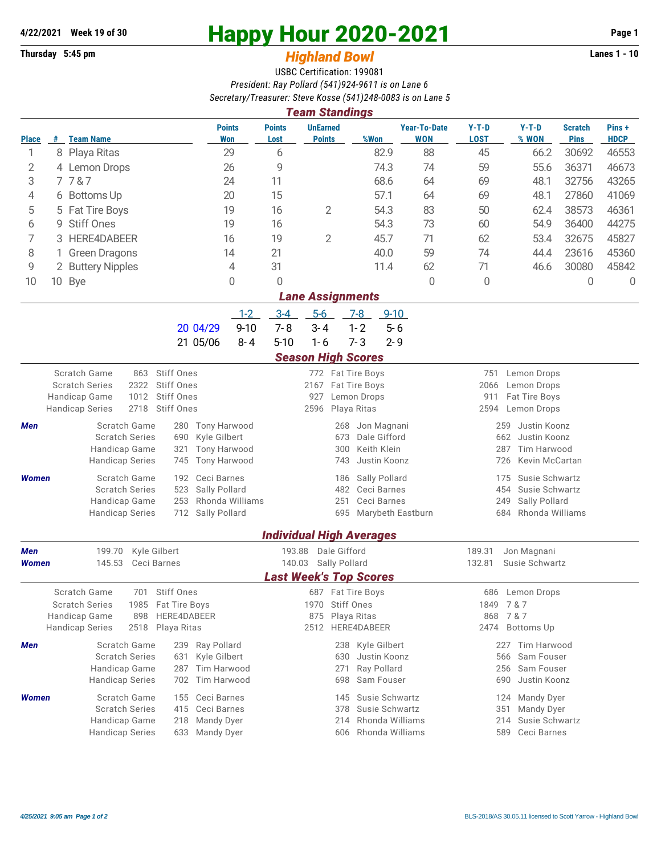## **Thursday 5:45 pm** *Highland Bowl*

## **4/22/2021 Week 19 of 30 Happy Hour 2020-2021 Page 1**

## USBC Certification: 199081 *President: Ray Pollard (541)924-9611 is on Lane 6 Secretary/Treasurer: Steve Kosse (541)248-0083 is on Lane 5*

| <b>Team Standings</b>                |                                                                                                                  |                                                                       |                                             |                                                          |                                                                      |                                          |                                   |                                                  |                            |                               |                      |  |  |
|--------------------------------------|------------------------------------------------------------------------------------------------------------------|-----------------------------------------------------------------------|---------------------------------------------|----------------------------------------------------------|----------------------------------------------------------------------|------------------------------------------|-----------------------------------|--------------------------------------------------|----------------------------|-------------------------------|----------------------|--|--|
| <b>Place</b>                         |                                                                                                                  | # Team Name                                                           | <b>Points</b><br>Won                        | <b>Points</b><br>Lost                                    | <b>UnEarned</b><br><b>Points</b>                                     | %Won                                     | <b>Year-To-Date</b><br><b>WON</b> | $Y-T-D$<br><b>LOST</b>                           | $Y-T-D$<br>% WON           | <b>Scratch</b><br><b>Pins</b> | Pins+<br><b>HDCP</b> |  |  |
| 1                                    |                                                                                                                  | 8 Playa Ritas                                                         | 29                                          | 6                                                        |                                                                      | 82.9                                     | 88                                | 45                                               | 66.2                       | 30692                         | 46553                |  |  |
| 2                                    | 4 Lemon Drops                                                                                                    |                                                                       | 26                                          | 9                                                        |                                                                      | 74.3                                     | 74                                | 59                                               | 55.6                       | 36371                         | 46673                |  |  |
| 3                                    |                                                                                                                  | 7787                                                                  | 24                                          | 11                                                       |                                                                      | 68.6                                     | 64                                | 69                                               | 48.1                       | 32756                         | 43265                |  |  |
| 4                                    |                                                                                                                  | 6 Bottoms Up                                                          | 20                                          | 15                                                       |                                                                      | 57.1                                     | 64                                | 69                                               | 48.1                       | 27860                         | 41069                |  |  |
| 5                                    |                                                                                                                  | <b>Fat Tire Boys</b>                                                  | 19                                          | $\overline{2}$<br>16                                     |                                                                      | 54.3<br>83                               |                                   | 50                                               | 62.4                       | 38573                         | 46361                |  |  |
| 6                                    | 9                                                                                                                | <b>Stiff Ones</b>                                                     | 19                                          | 16                                                       |                                                                      | 54.3                                     | 73                                | 60                                               | 54.9                       | 36400                         | 44275                |  |  |
| 7                                    | 3                                                                                                                | HERE4DABEER                                                           | 16                                          | $\mathbf{2}$<br>19                                       |                                                                      | 45.7                                     | 71                                | 62                                               | 53.4                       | 32675                         | 45827                |  |  |
| 8                                    |                                                                                                                  | <b>Green Dragons</b>                                                  | 14                                          | 21                                                       |                                                                      | 40.0                                     | 59                                | 74                                               | 44.4                       | 23616                         | 45360                |  |  |
| 9                                    |                                                                                                                  | 2 Buttery Nipples                                                     | 4                                           | 31                                                       |                                                                      | 11.4                                     | 62                                | 71                                               | 46.6                       | 30080                         | 45842                |  |  |
| 10                                   |                                                                                                                  | 10 Bye                                                                | 0                                           | 0                                                        |                                                                      |                                          | $\overline{0}$                    | 0                                                |                            | 0                             | $\Omega$             |  |  |
|                                      |                                                                                                                  |                                                                       |                                             |                                                          | <b>Lane Assignments</b>                                              |                                          |                                   |                                                  |                            |                               |                      |  |  |
|                                      |                                                                                                                  |                                                                       | $1 - 2$                                     | $3 - 4$                                                  | $5-6$                                                                | $9 - 10$<br>$7-8$                        |                                   |                                                  |                            |                               |                      |  |  |
|                                      |                                                                                                                  |                                                                       | $9 - 10$<br>20 04/29<br>21 05/06<br>$8 - 4$ | $7 - 8$<br>$5 - 10$                                      | $3 - 4$<br>$1 - 6$                                                   | $1 - 2$<br>$5 - 6$<br>$7 - 3$<br>$2 - 9$ |                                   |                                                  |                            |                               |                      |  |  |
|                                      |                                                                                                                  |                                                                       |                                             |                                                          |                                                                      |                                          |                                   |                                                  |                            |                               |                      |  |  |
|                                      | <b>Season High Scores</b><br>Scratch Game<br><b>Stiff Ones</b><br>863<br>772 Fat Tire Boys<br>751<br>Lemon Drops |                                                                       |                                             |                                                          |                                                                      |                                          |                                   |                                                  |                            |                               |                      |  |  |
|                                      |                                                                                                                  | 2322<br>Stiff Ones<br><b>Scratch Series</b>                           |                                             |                                                          | 2167 Fat Tire Boys                                                   |                                          |                                   | 2066                                             | Lemon Drops                |                               |                      |  |  |
|                                      |                                                                                                                  | 1012<br><b>Stiff Ones</b><br>Handicap Game                            |                                             | 927<br>Lemon Drops                                       |                                                                      |                                          |                                   | 911<br>Fat Tire Boys                             |                            |                               |                      |  |  |
|                                      |                                                                                                                  | 2718<br>Stiff Ones<br><b>Handicap Series</b>                          |                                             |                                                          | Playa Ritas<br>2596                                                  |                                          |                                   | 2594                                             | Lemon Drops                |                               |                      |  |  |
| Men                                  |                                                                                                                  | Scratch Game<br>280                                                   | Tony Harwood                                |                                                          | 268                                                                  | Jon Magnani                              |                                   | 259                                              | Justin Koonz               |                               |                      |  |  |
|                                      |                                                                                                                  | <b>Scratch Series</b><br>690<br>Handicap Game<br>321                  | Kyle Gilbert<br><b>Tony Harwood</b>         | 673<br>Dale Gifford<br>Keith Klein<br>300                |                                                                      |                                          |                                   | 662<br>Justin Koonz<br><b>Tim Harwood</b><br>287 |                            |                               |                      |  |  |
|                                      |                                                                                                                  | <b>Handicap Series</b><br>745                                         | <b>Tony Harwood</b>                         | 743<br>Justin Koonz                                      |                                                                      |                                          |                                   |                                                  | 726<br>Kevin McCartan      |                               |                      |  |  |
| <b>Women</b>                         |                                                                                                                  | Scratch Game<br>192                                                   | Ceci Barnes                                 |                                                          | 186                                                                  | Sally Pollard                            |                                   | 175                                              | Susie Schwartz             |                               |                      |  |  |
|                                      |                                                                                                                  | <b>Scratch Series</b><br>523                                          | Sally Pollard                               |                                                          | 482<br>Ceci Barnes<br>251<br>Ceci Barnes<br>695<br>Marybeth Eastburn |                                          |                                   | Susie Schwartz<br>454                            |                            |                               |                      |  |  |
|                                      |                                                                                                                  | Handicap Game<br>253<br><b>Handicap Series</b><br>712                 | Rhonda Williams<br>Sally Pollard            |                                                          |                                                                      |                                          |                                   | Sally Pollard<br>249<br>Rhonda Williams          |                            |                               |                      |  |  |
|                                      |                                                                                                                  |                                                                       |                                             |                                                          |                                                                      |                                          |                                   | 684                                              |                            |                               |                      |  |  |
|                                      |                                                                                                                  |                                                                       |                                             |                                                          | <b>Individual High Averages</b>                                      |                                          |                                   |                                                  |                            |                               |                      |  |  |
| 199.70<br>Kyle Gilbert<br><b>Men</b> |                                                                                                                  |                                                                       |                                             | 193.88                                                   | Dale Gifford                                                         |                                          |                                   | 189.31<br>Jon Magnani                            |                            |                               |                      |  |  |
| <b>Women</b>                         |                                                                                                                  | 145.53<br>Ceci Barnes                                                 |                                             | 140.03<br>Sally Pollard<br><b>Last Week's Top Scores</b> |                                                                      |                                          |                                   | 132.81<br>Susie Schwartz                         |                            |                               |                      |  |  |
|                                      |                                                                                                                  | Stiff Ones                                                            |                                             |                                                          |                                                                      |                                          |                                   |                                                  |                            |                               |                      |  |  |
|                                      |                                                                                                                  | Scratch Game<br>701<br><b>Scratch Series</b><br>1985<br>Fat Tire Boys |                                             |                                                          | 687 Fat Tire Boys<br>1970 Stiff Ones                                 |                                          |                                   | 686<br>1849                                      | Lemon Drops<br>7 & 7       |                               |                      |  |  |
|                                      |                                                                                                                  | Handicap Game<br>898                                                  | HERE4DABEER                                 | 875 Playa Ritas                                          |                                                                      |                                          |                                   | 7 & 7<br>868                                     |                            |                               |                      |  |  |
|                                      |                                                                                                                  | 2518 Playa Ritas<br><b>Handicap Series</b>                            |                                             |                                                          | 2512 HERE4DABEER                                                     |                                          |                                   |                                                  | 2474 Bottoms Up            |                               |                      |  |  |
| Men                                  |                                                                                                                  | Scratch Game                                                          | 239 Ray Pollard                             |                                                          | 238                                                                  | Kyle Gilbert                             |                                   |                                                  | 227 Tim Harwood            |                               |                      |  |  |
|                                      |                                                                                                                  | <b>Scratch Series</b><br>631                                          | Kyle Gilbert                                |                                                          | 630                                                                  | Justin Koonz                             |                                   | 566                                              | Sam Fouser                 |                               |                      |  |  |
|                                      |                                                                                                                  | Handicap Game<br>287<br><b>Handicap Series</b><br>702                 | Tim Harwood<br>Tim Harwood                  |                                                          | 271<br>698                                                           | Ray Pollard<br>Sam Fouser                |                                   | 256<br>690                                       | Sam Fouser<br>Justin Koonz |                               |                      |  |  |
| <b>Women</b>                         |                                                                                                                  | Scratch Game<br>155                                                   | Ceci Barnes                                 |                                                          | 145                                                                  | Susie Schwartz                           |                                   | 124                                              | Mandy Dyer                 |                               |                      |  |  |
|                                      |                                                                                                                  | <b>Scratch Series</b><br>415                                          | Ceci Barnes                                 |                                                          | 378                                                                  | Susie Schwartz                           |                                   | 351                                              | Mandy Dyer                 |                               |                      |  |  |
|                                      |                                                                                                                  | Handicap Game<br>218                                                  | Mandy Dyer                                  |                                                          | 214                                                                  | Rhonda Williams                          |                                   | 214                                              | Susie Schwartz             |                               |                      |  |  |
|                                      |                                                                                                                  | <b>Handicap Series</b><br>633                                         | Mandy Dyer                                  |                                                          | 606                                                                  | Rhonda Williams                          |                                   | Ceci Barnes<br>589                               |                            |                               |                      |  |  |